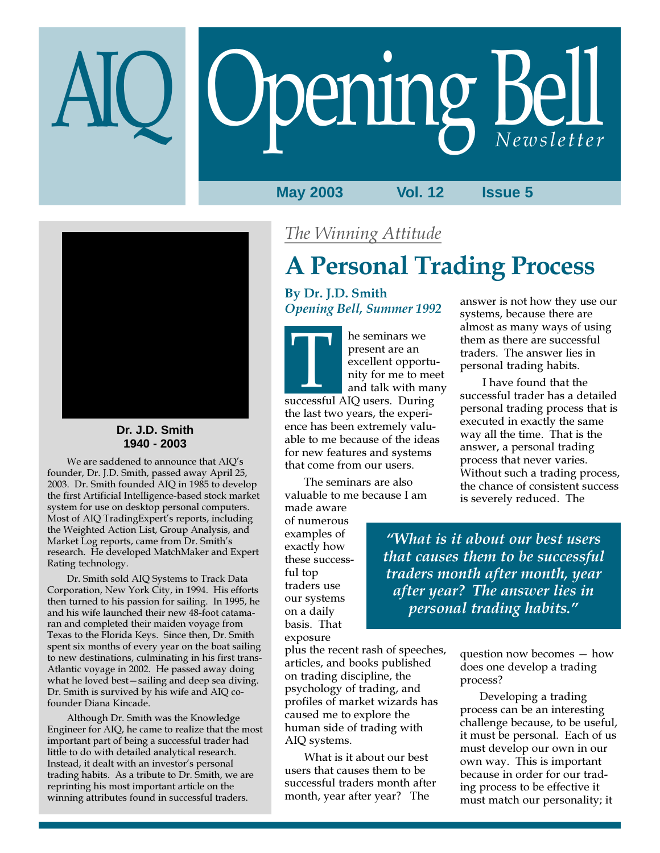# **Opening Bell**

**May 2003 Vol. 12 Issue 5**



#### **Dr. J.D. Smith 1940 - 2003**

We are saddened to announce that AIQ's founder, Dr. J.D. Smith, passed away April 25, 2003. Dr. Smith founded AIQ in 1985 to develop the first Artificial Intelligence-based stock market system for use on desktop personal computers. Most of AIQ TradingExpert's reports, including the Weighted Action List, Group Analysis, and Market Log reports, came from Dr. Smith's research. He developed MatchMaker and Expert Rating technology.

Dr. Smith sold AIQ Systems to Track Data Corporation, New York City, in 1994. His efforts then turned to his passion for sailing. In 1995, he and his wife launched their new 48-foot catamaran and completed their maiden voyage from Texas to the Florida Keys. Since then, Dr. Smith spent six months of every year on the boat sailing to new destinations, culminating in his first trans-Atlantic voyage in 2002. He passed away doing what he loved best—sailing and deep sea diving. Dr. Smith is survived by his wife and AIQ cofounder Diana Kincade.

Although Dr. Smith was the Knowledge Engineer for AIQ, he came to realize that the most important part of being a successful trader had little to do with detailed analytical research. Instead, it dealt with an investor's personal trading habits. As a tribute to Dr. Smith, we are reprinting his most important article on the winning attributes found in successful traders.

## The Winning Attitude

# A Personal Trading Process

By Dr. J.D. Smith Opening Bell, Summer 1992

he seminars we present are an excellent opportunity for me to meet and talk with many Free seminars we<br>present are an<br>excellent opportunity for me to me<br>and talk with ma<br>successful AIQ users. During the last two years, the experience has been extremely valuable to me because of the ideas for new features and systems that come from our users.

The seminars are also valuable to me because I am

made aware of numerous examples of exactly how these successful top traders use our systems on a daily basis. That exposure

plus the recent rash of speeches, articles, and books published on trading discipline, the psychology of trading, and profiles of market wizards has caused me to explore the human side of trading with AIQ systems.

What is it about our best users that causes them to be successful traders month after month, year after year? The

answer is not how they use our systems, because there are almost as many ways of using them as there are successful traders. The answer lies in personal trading habits.

 I have found that the successful trader has a detailed personal trading process that is executed in exactly the same way all the time. That is the answer, a personal trading process that never varies. Without such a trading process, the chance of consistent success is severely reduced. The

"What is it about our best users that causes them to be successful traders month after month, year after year? The answer lies in personal trading habits."

> question now becomes — how does one develop a trading process?

Developing a trading process can be an interesting challenge because, to be useful, it must be personal. Each of us must develop our own in our own way. This is important because in order for our trading process to be effective it must match our personality; it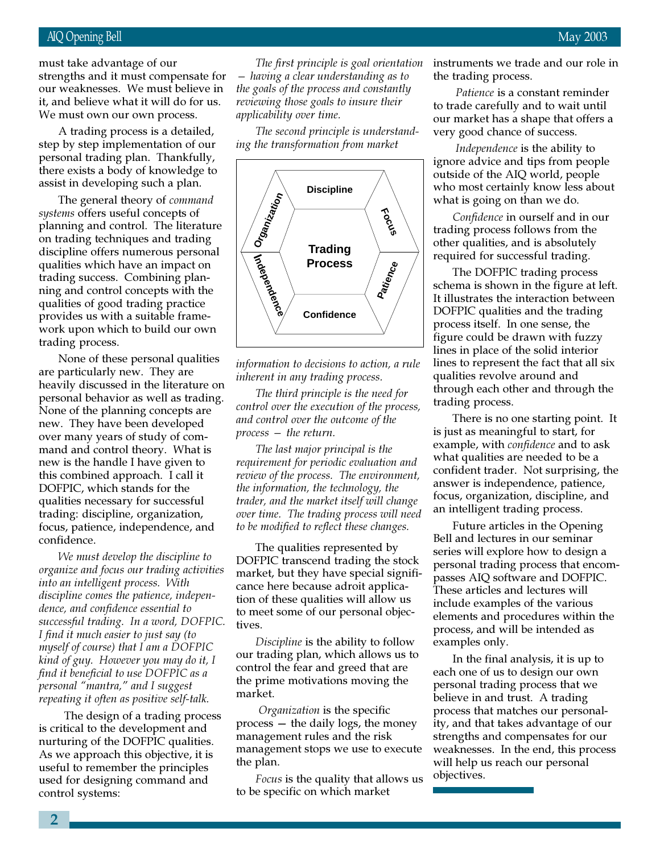#### AIQ Opening Bell May 2003

it, and believe what it will do for us.<br>We must over our own process must take advantage of our strengths and it must compensate for our weaknesses. We must believe in We must own our own process.

A trading process is a detailed, step by step implementation of our personal trading plan. Thankfully, there exists a body of knowledge to assist in developing such a plan.

The general theory of command systems offers useful concepts of planning and control. The literature on trading techniques and trading discipline offers numerous personal qualities which have an impact on trading success. Combining planning and control concepts with the qualities of good trading practice provides us with a suitable framework upon which to build our own trading process.

None of these personal qualities are particularly new. They are heavily discussed in the literature on personal behavior as well as trading. None of the planning concepts are new. They have been developed over many years of study of command and control theory. What is new is the handle I have given to this combined approach. I call it DOFPIC, which stands for the qualities necessary for successful trading: discipline, organization, focus, patience, independence, and confidence.

We must develop the discipline to organize and focus our trading activities into an intelligent process. With discipline comes the patience, independence, and confidence essential to successful trading. In a word, DOFPIC. I find it much easier to just say (to myself of course) that I am a DOFPIC kind of guy. However you may do it, I find it beneficial to use DOFPIC as a personal "mantra," and I suggest repeating it often as positive self-talk.

 The design of a trading process is critical to the development and nurturing of the DOFPIC qualities. As we approach this objective, it is useful to remember the principles used for designing command and control systems:

The first principle is goal orientation — having a clear understanding as to the goals of the process and constantly reviewing those goals to insure their applicability over time.

The second principle is understanding the transformation from market



information to decisions to action, a rule inherent in any trading process.

The third principle is the need for control over the execution of the process, and control over the outcome of the process — the return.

The last major principal is the requirement for periodic evaluation and review of the process. The environment, the information, the technology, the trader, and the market itself will change over time. The trading process will need to be modified to reflect these changes.

The qualities represented by DOFPIC transcend trading the stock market, but they have special significance here because adroit application of these qualities will allow us to meet some of our personal objectives.

Discipline is the ability to follow our trading plan, which allows us to control the fear and greed that are the prime motivations moving the market.

Organization is the specific process — the daily logs, the money management rules and the risk management stops we use to execute the plan.

Focus is the quality that allows us to be specific on which market

instruments we trade and our role in the trading process.

Patience is a constant reminder to trade carefully and to wait until our market has a shape that offers a very good chance of success.

 Independence is the ability to ignore advice and tips from people outside of the AIQ world, people who most certainly know less about what is going on than we do.

Confidence in ourself and in our trading process follows from the other qualities, and is absolutely required for successful trading.

The DOFPIC trading process schema is shown in the figure at left. It illustrates the interaction between DOFPIC qualities and the trading process itself. In one sense, the figure could be drawn with fuzzy lines in place of the solid interior lines to represent the fact that all six qualities revolve around and through each other and through the trading process.

There is no one starting point. It is just as meaningful to start, for example, with confidence and to ask what qualities are needed to be a confident trader. Not surprising, the answer is independence, patience, focus, organization, discipline, and an intelligent trading process.

Future articles in the Opening Bell and lectures in our seminar series will explore how to design a personal trading process that encompasses AIQ software and DOFPIC. These articles and lectures will include examples of the various elements and procedures within the process, and will be intended as examples only.

In the final analysis, it is up to each one of us to design our own personal trading process that we believe in and trust. A trading process that matches our personality, and that takes advantage of our strengths and compensates for our weaknesses. In the end, this process will help us reach our personal objectives.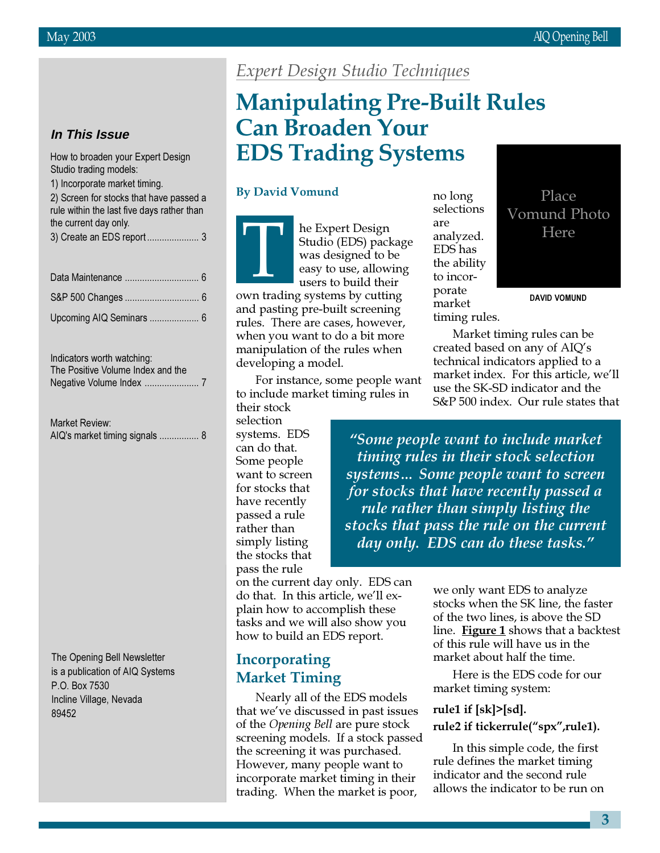#### **In This Issue**

How to broaden your Expert Design Studio trading models:

|  |  |  | 1) Incorporate market timing. |  |
|--|--|--|-------------------------------|--|
|--|--|--|-------------------------------|--|

2) Screen for stocks that have passed a rule within the last five days rather than the current day only. 3) Create an EDS report ..................... 3

Indicators worth watching: The Positive Volume Index and the Negative Volume Index ...................... 7

| Market Review:                 |  |
|--------------------------------|--|
| AIQ's market timing signals  8 |  |

The Opening Bell Newsletter is a publication of AIQ Systems P.O. Box 7530 Incline Village, Nevada 89452

## Expert Design Studio Techniques

## Manipulating Pre-Built Rules Can Broaden Your EDS Trading Systems

#### By David Vomund

T<br>Tun trad

he Expert Design Studio (EDS) package was designed to be easy to use, allowing users to build their

own trading systems by cutting and pasting pre-built screening rules. There are cases, however, when you want to do a bit more manipulation of the rules when developing a model.

For instance, some people want to include market timing rules in their stock

selection systems. EDS can do that. Some people want to screen for stocks that have recently passed a rule rather than simply listing the stocks that pass the rule

on the current day only. EDS can do that. In this article, we'll explain how to accomplish these tasks and we will also show you how to build an EDS report.

## Incorporating Market Timing

Nearly all of the EDS models that we've discussed in past issues of the Opening Bell are pure stock screening models. If a stock passed the screening it was purchased. However, many people want to incorporate market timing in their trading. When the market is poor,

no long selections are analyzed. EDS has the ability to incorporate market timing rules.



Market timing rules can be created based on any of AIQ's technical indicators applied to a market index. For this article, we'll use the SK-SD indicator and the S&P 500 index. Our rule states that

"Some people want to include market timing rules in their stock selection systems… Some people want to screen for stocks that have recently passed a rule rather than simply listing the stocks that pass the rule on the current day only. EDS can do these tasks."

> we only want EDS to analyze stocks when the SK line, the faster of the two lines, is above the SD line. Figure 1 shows that a backtest of this rule will have us in the market about half the time.

Here is the EDS code for our market timing system:

#### rule1 if [sk]>[sd].

#### rule2 if tickerrule("spx",rule1).

In this simple code, the first rule defines the market timing indicator and the second rule allows the indicator to be run on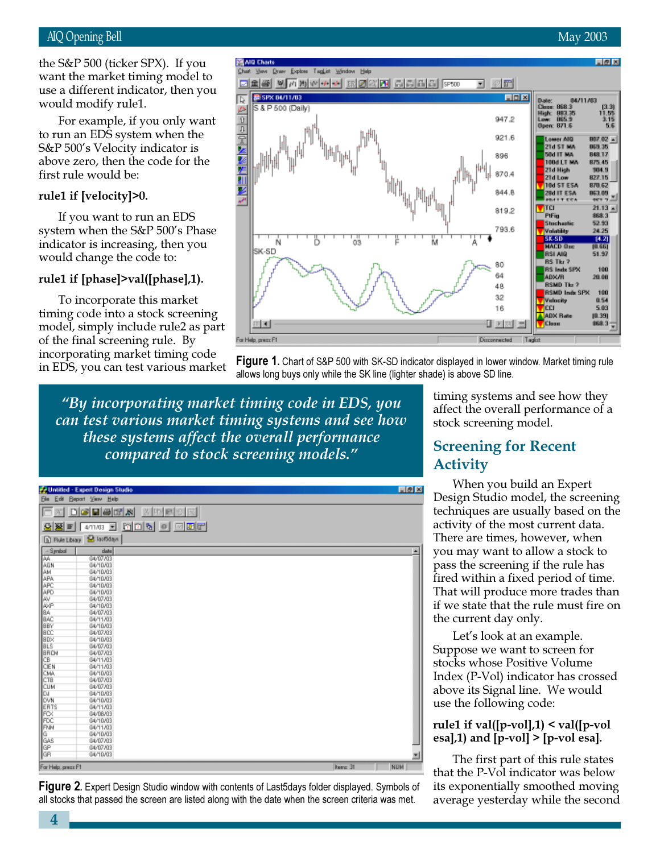would modify rule1. the S&P 500 (ticker SPX). If you want the market timing model to use a different indicator, then you

For example, if you only want to run an EDS system when the S&P 500's Velocity indicator is above zero, then the code for the first rule would be:

#### rule1 if [velocity]>0.

If you want to run an EDS system when the S&P 500's Phase indicator is increasing, then you would change the code to:

#### rule1 if [phase]>val([phase],1).

To incorporate this market timing code into a stock screening model, simply include rule2 as part of the final screening rule. By incorporating market timing code in EDS, you can test various market



田町 For Help, press F1

**Figure 1.** Chart of S&P 500 with SK-SD indicator displayed in lower window. Market timing rule allows long buys only while the SK line (lighter shade) is above SD line.

"By incorporating market timing code in EDS, you can test various market timing systems and see how these systems affect the overall performance compared to stock screening models."

|                                                                                                              | Untilled - Expert Design Studio  |                          |  |                  | 同例図 |
|--------------------------------------------------------------------------------------------------------------|----------------------------------|--------------------------|--|------------------|-----|
|                                                                                                              | <b>Ele Edit Beport View Help</b> |                          |  |                  |     |
| Ic                                                                                                           | a deems                          | 3 中国公民                   |  |                  |     |
| 오동티                                                                                                          | 40                               | 471703 E MOR 0 0 0 0 0 0 |  |                  |     |
| <b>ID</b> Rule Library                                                                                       | <b>B</b> laifidays               |                          |  |                  |     |
|                                                                                                              | date                             |                          |  |                  | ×   |
|                                                                                                              | 04/07/03                         |                          |  |                  |     |
|                                                                                                              | 04/10/03                         |                          |  |                  |     |
|                                                                                                              | 04/10/03                         |                          |  |                  |     |
|                                                                                                              | 04/10/03                         |                          |  |                  |     |
|                                                                                                              | 04/10/03                         |                          |  |                  |     |
|                                                                                                              | 04/10/03                         |                          |  |                  |     |
|                                                                                                              | 04/07/03                         |                          |  |                  |     |
|                                                                                                              | 04/10/03                         |                          |  |                  |     |
|                                                                                                              | 04/07/03                         |                          |  |                  |     |
|                                                                                                              | 04/11/03                         |                          |  |                  |     |
|                                                                                                              | 04/10/03                         |                          |  |                  |     |
|                                                                                                              | 04/07/03                         |                          |  |                  |     |
|                                                                                                              | 04/10/03                         |                          |  |                  |     |
|                                                                                                              | 04/07/03                         |                          |  |                  |     |
|                                                                                                              | 04/07/03                         |                          |  |                  |     |
|                                                                                                              | 04/11/03                         |                          |  |                  |     |
|                                                                                                              | 04/11/03                         |                          |  |                  |     |
|                                                                                                              | 04/10/03                         |                          |  |                  |     |
|                                                                                                              | 04/07/03<br>04/07/03             |                          |  |                  |     |
|                                                                                                              | 04/10/03                         |                          |  |                  |     |
|                                                                                                              | 04/10/03                         |                          |  |                  |     |
|                                                                                                              | 04/11/03                         |                          |  |                  |     |
|                                                                                                              | 04/08/03                         |                          |  |                  |     |
|                                                                                                              | 04/10/03                         |                          |  |                  |     |
|                                                                                                              | 04/11/03                         |                          |  |                  |     |
|                                                                                                              | 04/10/03                         |                          |  |                  |     |
|                                                                                                              | 04/07/03                         |                          |  |                  |     |
|                                                                                                              | 04/07/03                         |                          |  |                  |     |
| <br> - 13세국 4세우오초 24대 34대 34대 35년 3월 23일 34대 24대 35월 35일<br>   - 13세국 34대 34대 34대 34대 35년 34대 34대 34대 34대 35 | 04/10/03                         |                          |  |                  | 븨   |
| For Help, press F1                                                                                           |                                  |                          |  | <b>Barrat</b> 31 | NUM |

**Figure 2.** Expert Design Studio window with contents of Last5days folder displayed. Symbols of all stocks that passed the screen are listed along with the date when the screen criteria was met.

timing systems and see how they affect the overall performance of a stock screening model.

ADX Rate

**V** Close

 $(0.38)$ 868.3

## Screening for Recent Activity

16

 $\frac{1}{2}$  in Eq. (

Dimonented

When you build an Expert Design Studio model, the screening techniques are usually based on the activity of the most current data. There are times, however, when you may want to allow a stock to pass the screening if the rule has fired within a fixed period of time. That will produce more trades than if we state that the rule must fire on the current day only.

Let's look at an example. Suppose we want to screen for stocks whose Positive Volume Index (P-Vol) indicator has crossed above its Signal line. We would use the following code:

#### rule1 if val([p-vol],1) < val([p-vol esa],1) and  $[p$ -vol] >  $[p$ -vol esa].

The first part of this rule states that the P-Vol indicator was below its exponentially smoothed moving average yesterday while the second

4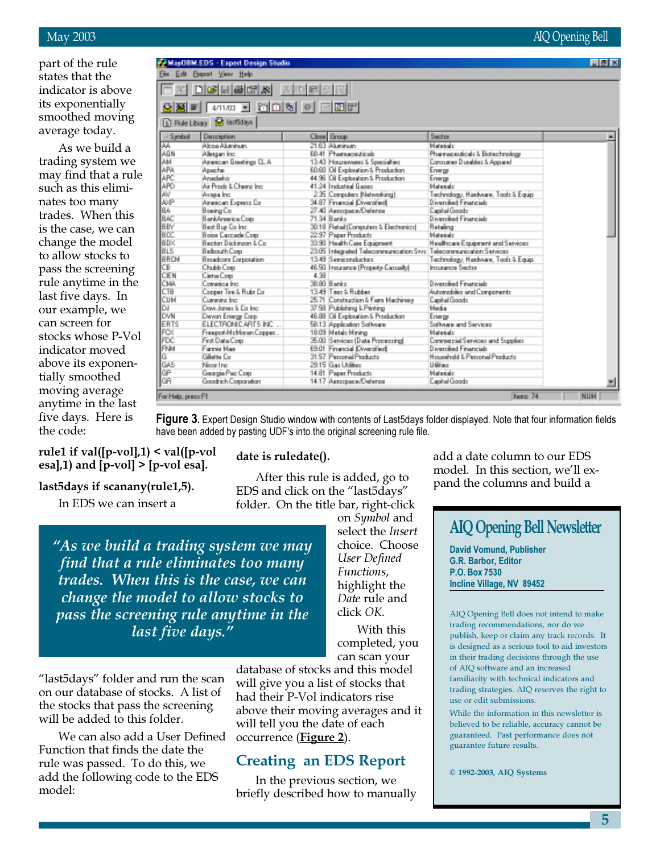#### May 2003 AIQ Opening Bell

part of the rule states that the indicator is above its exponentially smoothed moving average today.

As we build a trading system we may find that a rule such as this eliminates too many trades. When this is the case, we can change the model to allow stocks to pass the screening rule anytime in the last five days. In our example, we can screen for stocks whose P-Vol indicator moved above its exponentially smoothed moving average anytime in the last five days. Here is the code:

|                       | MacDRM EDS - Expert Design Studio<br>Film Edit Report View Help |              |                                                                    |                                     | 同例図                     |
|-----------------------|-----------------------------------------------------------------|--------------|--------------------------------------------------------------------|-------------------------------------|-------------------------|
|                       | <b>XIDGEGR</b>                                                  | <b>XDBCX</b> |                                                                    |                                     |                         |
|                       |                                                                 |              |                                                                    |                                     |                         |
| 公図回                   | e dels de sigle<br>4/11/03                                      |              |                                                                    |                                     |                         |
| <b>In Rue Library</b> | <b>B</b> laifidays                                              |              |                                                                    |                                     |                         |
| -Sentral              | Department                                                      |              | Close Group                                                        | Sedor                               |                         |
| PA.                   | different differences.                                          |              | <b>START Alberton</b>                                              | Materials                           |                         |
| ABN                   | Allegam Inc.                                                    |              | 68.41 Pharmaceuticals                                              | Pharmaceuticals & Biotechnology     |                         |
| AM                    | American Breekings D. A.                                        |              | 13.43 Hourspaper 3. Specialties                                    | Commerce Durables: 3. Account       |                         |
| APA                   | Apache                                                          |              | 60.60 Oil Exploration & Production                                 | Energy                              |                         |
| <b>APC</b>            | divantative                                                     |              | 44.96 Oil Exploration & Production                                 | Energy                              |                         |
| APD                   | die Persein is Channel Inc.                                     |              | 41.24 Inchesial Rasser                                             | Materiale                           |                         |
| AW.                   | Avera inc.                                                      |              | 2.35 Computers Nativotking?                                        | Technology, Herdysen, Tools & Equip |                         |
| 政府                    | American Experts Co.                                            |              | 34.87 Francial Diversited                                          | <b>Discoverient Financials</b>      |                         |
| BA.                   | Bosing Co.                                                      |              | 27.40 Autorpace/Defense                                            | <b>Capital Goods:</b>               |                         |
| <b>BAC</b>            | BenkAmerica Corp.                                               |              | 71.34 Benke                                                        | <b>Discussibed Financials</b>       |                         |
| lagy.                 | Best Bue Co Inc.                                                |              | 30.18 Fatal (Dorandare & Electronical                              | <b>Betaling</b>                     |                         |
| lace                  | <b>Boise Carrowle Com</b>                                       |              | 22.97 Paper Products                                               | Materials                           |                         |
| la px                 | Barrion Dickinson N.Co.                                         |              | 33.90 Health Case Equipment                                        | Healthcare Exuberent and Services:  |                         |
| laus                  | <b>Bellouth Com</b>                                             |              | 23.05 Integrated Telecommunication Sing Telecommunication Services |                                     |                         |
| Івясм                 | <b>Brandcare Corporation</b>                                    |              | 13.49 Serviceveluptors                                             | Technology, Herdysen, Tools & Equip |                         |
| ICB.                  | Chubb Com                                                       |              | 46.50 Insurance (Property-Cancello)                                | Imparine Sector                     |                         |
| Іски                  | Disna Drani                                                     | 4.98         |                                                                    |                                     |                         |
| CMA.                  | Constitution Inc.                                               |              | 38.80 Barán                                                        | <b>Discussional Equatorials</b>     |                         |
| CTB                   | Copper Tim & Rubr Co.                                           |              | 13.49 Tiers & Rubber                                               | Automobiles and Components          |                         |
| Ісим                  | Curanica Inc.                                                   |              | 25.71 Construction & Farm Machinery.                               | <b>Capital Goods</b>                |                         |
| loa.                  | Flows Jones & For Inc.                                          |              | 37.58 Publishing & Pinting                                         | Media                               |                         |
| <b>DVN</b>            | Devon Energy Corp.                                              |              | 48.88 Oil Exploration & Production                                 | Energy                              |                         |
| <b>ERTS</b>           | ELECTRONICARTS INC.                                             |              | 58.13 Application Software                                         | Software and Services               |                         |
| lifox.                | Freepot-McMaren Copper.                                         |              | 18.09 Metab Mining                                                 | Materiale                           |                         |
| <b>FDC</b>            | First Date Corp.                                                |              | 35.00 Survices (Data Processing)                                   | Commercial Services: and Supplets   |                         |
| inw                   | Farmie Mae                                                      |              | 68.01 Francial Diversited                                          | <b>Discoveries of Emmergency</b>    |                         |
| lG.                   | <b>Gilberto</b> , Cen                                           |              | 31.57 Percent Products                                             | Hira material L. Parentral Products |                         |
| GAS                   | Moor Inc.                                                       |              | 29.15 Gar Utilian                                                  | 1160 km                             |                         |
| <b>GP</b>             | Georgia Pac Cosa                                                |              | 14.81 Paper Products                                               | Materials                           |                         |
| <b>RR</b>             | <b>Boodrich Concration</b>                                      |              | 14.17 Autorpace/Defense                                            | <b>Capital Goods</b>                | $\overline{\mathbf{r}}$ |
| For Help, prepa F1    |                                                                 |              |                                                                    | bare: 74                            | <b>ВШИ</b>              |

Figure 3. Expert Design Studio window with contents of Last5days folder displayed. Note that four information fields have been added by pasting UDF's into the original screening rule file.

#### rule1 if val( $[p$ -vol],1) < val( $[p$ -vol esa], $1)$  and [p-vol] > [p-vol esa].

#### last5days if scanany(rule1,5).

In EDS we can insert a

date is ruledate().

After this rule is added, go to EDS and click on the "last5days" folder. On the title bar, right-click

"As we build a trading system we may find that a rule eliminates too many trades. When this is the case, we can change the model to allow stocks to pass the screening rule anytime in the last five days."

"last5days" folder and run the scan on our database of stocks. A list of the stocks that pass the screening will be added to this folder.

We can also add a User Defined Function that finds the date the rule was passed. To do this, we add the following code to the EDS model:

choice. Choose User Defined Functions, highlight the Date rule and click OK. With this completed, you can scan your

on Symbol and select the Insert

database of stocks and this model will give you a list of stocks that had their P-Vol indicators rise above their moving averages and it will tell you the date of each occurrence (**Figure 2**).

### Creating an EDS Report

In the previous section, we briefly described how to manually add a date column to our EDS model. In this section, we'll expand the columns and build a

## AIQ Opening Bell Newsletter

David Vomund, Publisher G.R. Barbor, Editor P.O. Box 7530 Incline Village, NV 89452

AIQ Opening Bell does not intend to make trading recommendations, nor do we publish, keep or claim any track records. It is designed as a serious tool to aid investors in their trading decisions through the use of AIQ software and an increased familiarity with technical indicators and trading strategies. AIQ reserves the right to use or edit submissions.

While the information in this newsletter is believed to be reliable, accuracy cannot be guaranteed. Past performance does not guarantee future results.

© 1992-2003, AIQ Systems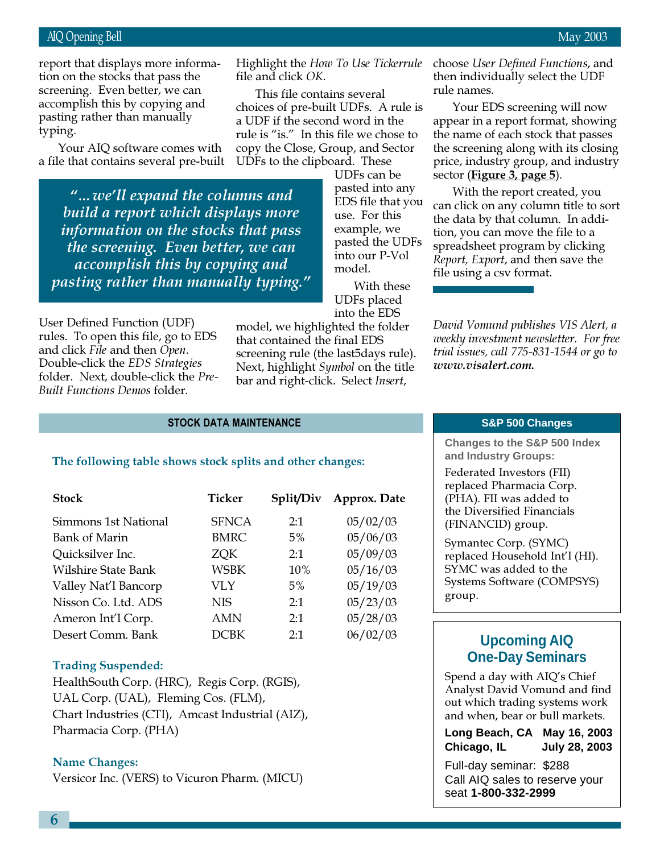accomplish this by copying and report that displays more information on the stocks that pass the screening. Even better, we can pasting rather than manually typing.

Your AIQ software comes with a file that contains several pre-built

"…we'll expand the columns and build a report which displays more information on the stocks that pass the screening. Even better, we can accomplish this by copying and pasting rather than manually typing."

User Defined Function (UDF) rules. To open this file, go to EDS and click File and then Open. Double-click the EDS Strategies folder. Next, double-click the Pre-Built Functions Demos folder.

into the EDS model, we highlighted the folder that contained the final EDS screening rule (the last<sup>5</sup>days rule). Next, highlight Symbol on the title

STOCK DATA MAINTENANCE

#### The following table shows stock splits and other changes:

| <b>Stock</b>         | Ticker       | Split/Div | Approx. Date |
|----------------------|--------------|-----------|--------------|
| Simmons 1st National | <b>SFNCA</b> | 2:1       | 05/02/03     |
| <b>Bank of Marin</b> | <b>BMRC</b>  | $5\%$     | 05/06/03     |
| Quicksilver Inc.     | <b>ZOK</b>   | 2:1       | 05/09/03     |
| Wilshire State Bank  | WSBK         | 10%       | 05/16/03     |
| Valley Nat'l Bancorp | VLY          | 5%        | 05/19/03     |
| Nisson Co. Ltd. ADS  | <b>NIS</b>   | 2:1       | 05/23/03     |
| Ameron Int'l Corp.   | AMN          | 2:1       | 05/28/03     |
| Desert Comm. Bank    | <b>DCBK</b>  | 2:1       | 06/02/03     |

#### Trading Suspended:

HealthSouth Corp. (HRC), Regis Corp. (RGIS), UAL Corp. (UAL), Fleming Cos. (FLM), Chart Industries (CTI), Amcast Industrial (AIZ), Pharmacia Corp. (PHA)

#### Name Changes:

Versicor Inc. (VERS) to Vicuron Pharm. (MICU)

Highlight the How To Use Tickerrule choose User Defined Functions, and file and click OK.

This file contains several choices of pre-built UDFs. A rule is a UDF if the second word in the rule is "is." In this file we chose to copy the Close, Group, and Sector UDFs to the clipboard. These

> UDFs can be pasted into any EDS file that you use. For this example, we pasted the UDFs into our P-Vol model.

With these UDFs placed

bar and right-click. Select Insert,

then individually select the UDF rule names.

Your EDS screening will now appear in a report format, showing the name of each stock that passes the screening along with its closing price, industry group, and industry sector (**Figure 3, page 5**).

With the report created, you can click on any column title to sort the data by that column. In addition, you can move the file to a spreadsheet program by clicking Report, Export, and then save the file using a csv format.

David Vomund publishes VIS Alert, a weekly investment newsletter. For free trial issues, call 775-831-1544 or go to www.visalert.com.

#### **S&P 500 Changes**

**Changes to the S&P 500 Index and Industry Groups:**

Federated Investors (FII) replaced Pharmacia Corp. (PHA). FII was added to the Diversified Financials (FINANCID) group.

Symantec Corp. (SYMC) replaced Household Int'l (HI). SYMC was added to the Systems Software (COMPSYS) group.

#### **Upcoming AIQ One-Day Seminars**

Spend a day with AIQ's Chief Analyst David Vomund and find out which trading systems work and when, bear or bull markets.

**Long Beach, CA May 16, 2003 Chicago, IL July 28, 2003**

Full-day seminar: \$288 Call AIQ sales to reserve your seat **1-800-332-2999**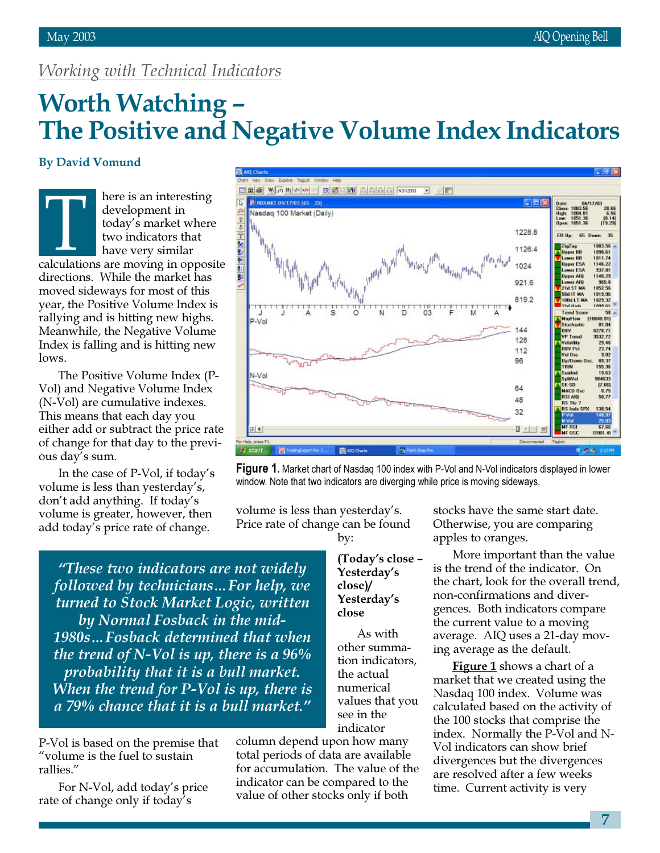## Working with Technical Indicators

# Worth Watching – The Positive and Negative Volume Index Indicators

#### By David Vomund

here is an interesting development in today's market where two indicators that have very similar development in<br>
today's market where<br>
two indicators that<br>
have very similar<br>
calculations are moving in opposite directions. While the market has moved sideways for most of this year, the Positive Volume Index is rallying and is hitting new highs. Meanwhile, the Negative Volume Index is falling and is hitting new lows.

The Positive Volume Index (P-Vol) and Negative Volume Index (N-Vol) are cumulative indexes. This means that each day you either add or subtract the price rate of change for that day to the previous day's sum.

In the case of P-Vol, if today's volume is less than yesterday's, don't add anything. If today's volume is greater, however, then add today's price rate of change.



Figure 1. Market chart of Nasdag 100 index with P-Vol and N-Vol indicators displayed in lower window. Note that two indicators are diverging while price is moving sideways.

volume is less than yesterday's. Price rate of change can be found

"These two indicators are not widely followed by technicians…For help, we turned to Stock Market Logic, written by Normal Fosback in the mid-1980s…Fosback determined that when the trend of N-Vol is up, there is a  $96\%$ probability that it is a bull market. When the trend for P-Vol is up, there is a 79% chance that it is a bull market."

P-Vol is based on the premise that "volume is the fuel to sustain rallies."

For N-Vol, add today's price rate of change only if today's

by: (Today's close – Yesterday's close)/

> Yesterday's close

As with other summation indicators, the actual numerical values that you see in the indicator

column depend upon how many total periods of data are available for accumulation. The value of the indicator can be compared to the value of other stocks only if both

stocks have the same start date. Otherwise, you are comparing apples to oranges.

More important than the value is the trend of the indicator. On the chart, look for the overall trend, non-confirmations and divergences. Both indicators compare the current value to a moving average. AIQ uses a 21-day moving average as the default.

**Figure 1** shows a chart of a market that we created using the Nasdaq 100 index. Volume was calculated based on the activity of the 100 stocks that comprise the index. Normally the P-Vol and N-Vol indicators can show brief divergences but the divergences are resolved after a few weeks time. Current activity is very

7